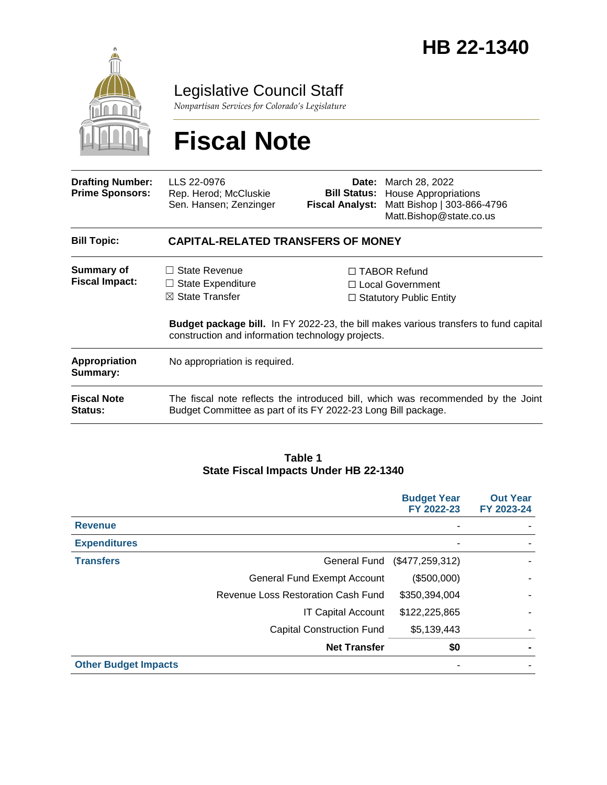

Legislative Council Staff

*Nonpartisan Services for Colorado's Legislature*

# **Fiscal Note**

| <b>Drafting Number:</b><br><b>Prime Sponsors:</b> | LLS 22-0976<br>Rep. Herod; McCluskie<br>Sen. Hansen; Zenzinger                                                                                    | <b>Fiscal Analyst:</b> | <b>Date:</b> March 28, 2022<br><b>Bill Status:</b> House Appropriations<br>Matt Bishop   303-866-4796<br>Matt.Bishop@state.co.us |  |
|---------------------------------------------------|---------------------------------------------------------------------------------------------------------------------------------------------------|------------------------|----------------------------------------------------------------------------------------------------------------------------------|--|
| <b>Bill Topic:</b>                                | <b>CAPITAL-RELATED TRANSFERS OF MONEY</b>                                                                                                         |                        |                                                                                                                                  |  |
| Summary of<br><b>Fiscal Impact:</b>               | $\Box$ State Revenue                                                                                                                              |                        | $\Box$ TABOR Refund                                                                                                              |  |
|                                                   | $\Box$ State Expenditure                                                                                                                          |                        | $\Box$ Local Government                                                                                                          |  |
|                                                   | $\boxtimes$ State Transfer                                                                                                                        |                        | $\Box$ Statutory Public Entity                                                                                                   |  |
|                                                   | <b>Budget package bill.</b> In FY 2022-23, the bill makes various transfers to fund capital<br>construction and information technology projects.  |                        |                                                                                                                                  |  |
| <b>Appropriation</b><br>Summary:                  | No appropriation is required.                                                                                                                     |                        |                                                                                                                                  |  |
| <b>Fiscal Note</b><br>Status:                     | The fiscal note reflects the introduced bill, which was recommended by the Joint<br>Budget Committee as part of its FY 2022-23 Long Bill package. |                        |                                                                                                                                  |  |

#### **Table 1 State Fiscal Impacts Under HB 22-1340**

|                             |                                    | <b>Budget Year</b><br>FY 2022-23 | <b>Out Year</b><br>FY 2023-24 |
|-----------------------------|------------------------------------|----------------------------------|-------------------------------|
| <b>Revenue</b>              |                                    |                                  |                               |
| <b>Expenditures</b>         |                                    |                                  |                               |
| <b>Transfers</b>            | General Fund                       | (\$477, 259, 312)                |                               |
|                             | <b>General Fund Exempt Account</b> | (\$500,000)                      |                               |
|                             | Revenue Loss Restoration Cash Fund | \$350,394,004                    |                               |
|                             | <b>IT Capital Account</b>          | \$122,225,865                    |                               |
|                             | <b>Capital Construction Fund</b>   | \$5,139,443                      |                               |
|                             | <b>Net Transfer</b>                | \$0                              |                               |
| <b>Other Budget Impacts</b> |                                    |                                  |                               |